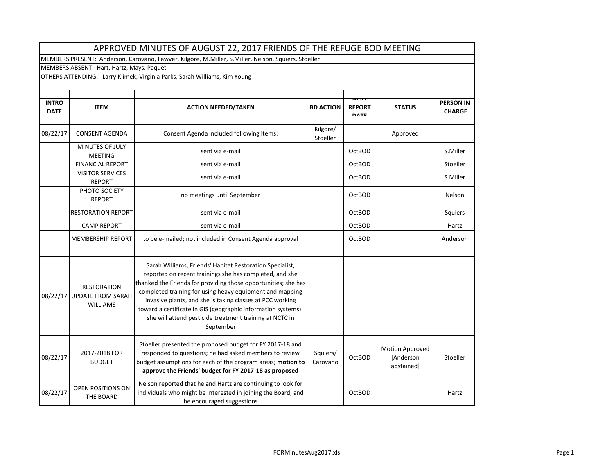| APPROVED MINUTES OF AUGUST 22, 2017 FRIENDS OF THE REFUGE BOD MEETING                               |                                                                   |                                                                                                                                                                                                                                                                                                                                                                                                                                                         |                      |                                             |                                                   |                                   |  |  |  |  |
|-----------------------------------------------------------------------------------------------------|-------------------------------------------------------------------|---------------------------------------------------------------------------------------------------------------------------------------------------------------------------------------------------------------------------------------------------------------------------------------------------------------------------------------------------------------------------------------------------------------------------------------------------------|----------------------|---------------------------------------------|---------------------------------------------------|-----------------------------------|--|--|--|--|
| MEMBERS PRESENT: Anderson, Carovano, Fawver, Kilgore, M.Miller, S.Miller, Nelson, Squiers, Stoeller |                                                                   |                                                                                                                                                                                                                                                                                                                                                                                                                                                         |                      |                                             |                                                   |                                   |  |  |  |  |
| MEMBERS ABSENT: Hart, Hartz, Mays, Paquet                                                           |                                                                   |                                                                                                                                                                                                                                                                                                                                                                                                                                                         |                      |                                             |                                                   |                                   |  |  |  |  |
| OTHERS ATTENDING: Larry Klimek, Virginia Parks, Sarah Williams, Kim Young                           |                                                                   |                                                                                                                                                                                                                                                                                                                                                                                                                                                         |                      |                                             |                                                   |                                   |  |  |  |  |
|                                                                                                     |                                                                   |                                                                                                                                                                                                                                                                                                                                                                                                                                                         |                      |                                             |                                                   |                                   |  |  |  |  |
| <b>INTRO</b><br><b>DATE</b>                                                                         | <b>ITEM</b>                                                       | <b>ACTION NEEDED/TAKEN</b>                                                                                                                                                                                                                                                                                                                                                                                                                              | <b>BD ACTION</b>     | <b>NEAT</b><br><b>REPORT</b><br><b>DATE</b> | <b>STATUS</b>                                     | <b>PERSON IN</b><br><b>CHARGE</b> |  |  |  |  |
| 08/22/17                                                                                            | <b>CONSENT AGENDA</b>                                             | Consent Agenda included following items:                                                                                                                                                                                                                                                                                                                                                                                                                | Kilgore/<br>Stoeller |                                             | Approved                                          |                                   |  |  |  |  |
|                                                                                                     | MINUTES OF JULY<br><b>MEETING</b>                                 | sent via e-mail                                                                                                                                                                                                                                                                                                                                                                                                                                         |                      | <b>OctBOD</b>                               |                                                   | S.Miller                          |  |  |  |  |
|                                                                                                     | <b>FINANCIAL REPORT</b>                                           | sent via e-mail                                                                                                                                                                                                                                                                                                                                                                                                                                         |                      | <b>OctBOD</b>                               |                                                   | Stoeller                          |  |  |  |  |
|                                                                                                     | <b>VISITOR SERVICES</b><br><b>REPORT</b>                          | sent via e-mail                                                                                                                                                                                                                                                                                                                                                                                                                                         |                      | <b>OctBOD</b>                               |                                                   | S.Miller                          |  |  |  |  |
|                                                                                                     | PHOTO SOCIETY<br><b>REPORT</b>                                    | no meetings until September                                                                                                                                                                                                                                                                                                                                                                                                                             |                      | <b>OctBOD</b>                               |                                                   | Nelson                            |  |  |  |  |
|                                                                                                     | <b>RESTORATION REPORT</b>                                         | sent via e-mail                                                                                                                                                                                                                                                                                                                                                                                                                                         |                      | OctBOD                                      |                                                   | Squiers                           |  |  |  |  |
|                                                                                                     | <b>CAMP REPORT</b>                                                | sent via e-mail                                                                                                                                                                                                                                                                                                                                                                                                                                         |                      | OctBOD                                      |                                                   | Hartz                             |  |  |  |  |
|                                                                                                     | <b>MEMBERSHIP REPORT</b>                                          | to be e-mailed; not included in Consent Agenda approval                                                                                                                                                                                                                                                                                                                                                                                                 |                      | <b>OctBOD</b>                               |                                                   | Anderson                          |  |  |  |  |
|                                                                                                     |                                                                   |                                                                                                                                                                                                                                                                                                                                                                                                                                                         |                      |                                             |                                                   |                                   |  |  |  |  |
| 08/22/17                                                                                            | <b>RESTORATION</b><br><b>UPDATE FROM SARAH</b><br><b>WILLIAMS</b> | Sarah Williams, Friends' Habitat Restoration Specialist,<br>reported on recent trainings she has completed, and she<br>thanked the Friends for providing those opportunities; she has<br>completed training for using heavy equipment and mapping<br>invasive plants, and she is taking classes at PCC working<br>toward a certificate in GIS (geographic information systems);<br>she will attend pesticide treatment training at NCTC in<br>September |                      |                                             |                                                   |                                   |  |  |  |  |
| 08/22/17                                                                                            | 2017-2018 FOR<br><b>BUDGET</b>                                    | Stoeller presented the proposed budget for FY 2017-18 and<br>responded to questions; he had asked members to review<br>budget assumptions for each of the program areas; motion to<br>approve the Friends' budget for FY 2017-18 as proposed                                                                                                                                                                                                            | Squiers/<br>Carovano | <b>OctBOD</b>                               | <b>Motion Approved</b><br>[Anderson<br>abstained] | Stoeller                          |  |  |  |  |
| 08/22/17                                                                                            | OPEN POSITIONS ON<br>THE BOARD                                    | Nelson reported that he and Hartz are continuing to look for<br>individuals who might be interested in joining the Board, and<br>he encouraged suggestions                                                                                                                                                                                                                                                                                              |                      | <b>OctBOD</b>                               |                                                   | Hartz                             |  |  |  |  |